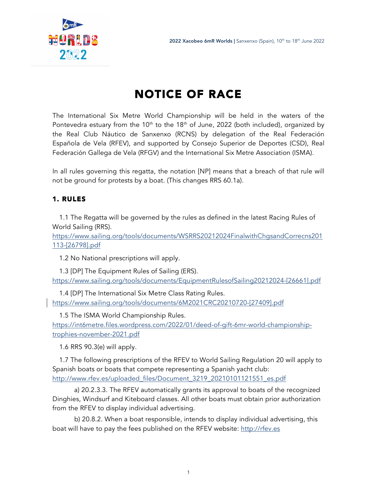

# NOTICE OF RACE

The International Six Metre World Championship will be held in the waters of the Pontevedra estuary from the  $10<sup>th</sup>$  to the  $18<sup>th</sup>$  of June, 2022 (both included), organized by the Real Club Náutico de Sanxenxo (RCNS) by delegation of the Real Federación Española de Vela (RFEV), and supported by Consejo Superior de Deportes (CSD), Real Federación Gallega de Vela (RFGV) and the International Six Metre Association (ISMA).

In all rules governing this regatta, the notation [NP] means that a breach of that rule will not be ground for protests by a boat. (This changes RRS 60.1a).

## 1. RULES

1.1 The Regatta will be governed by the rules as defined in the latest Racing Rules of World Sailing (RRS).

https://www.sailing.org/tools/documents/WSRRS20212024FinalwithChgsandCorrecns201 113-[26798].pdf

1.2 No National prescriptions will apply.

1.3 [DP] The Equipment Rules of Sailing (ERS). https://www.sailing.org/tools/documents/EquipmentRulesofSailing20212024-[26661].pdf

1.4 [DP] The International Six Metre Class Rating Rules. https://www.sailing.org/tools/documents/6M2021CRC20210720-[27409].pdf

1.5 The ISMA World Championship Rules.

https://int6metre.files.wordpress.com/2022/01/deed-of-gift-6mr-world-championshiptrophies-november-2021.pdf

1.6 RRS 90.3(e) will apply.

1.7 The following prescriptions of the RFEV to World Sailing Regulation 20 will apply to Spanish boats or boats that compete representing a Spanish yacht club: http://www.rfev.es/uploaded\_files/Document\_3219\_20210101121551\_es.pdf

a) 20.2.3.3. The RFEV automatically grants its approval to boats of the recognized Dinghies, Windsurf and Kiteboard classes. All other boats must obtain prior authorization from the RFEV to display individual advertising.

b) 20.8.2. When a boat responsible, intends to display individual advertising, this boat will have to pay the fees published on the RFEV website: http://rfev.es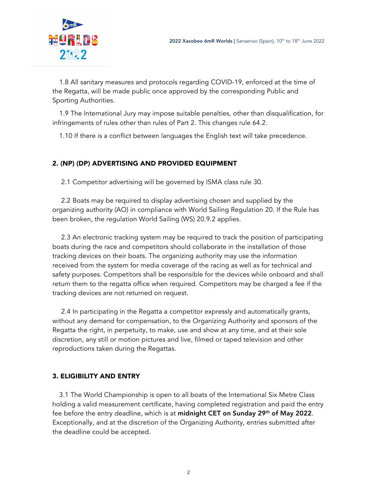

1.8 All sanitary measures and protocols regarding COVID-19, enforced at the time of the Regatta, will be made public once approved by the corresponding Public and Sporting Authorities.

1.9 The International Jury may impose suitable penalties, other than disqualification, for infringements of rules other than rules of Part 2. This changes rule 64.2.

1.10 If there is a conflict between languages the English text will take precedence.

#### 2. (NP) (DP) ADVERTISING AND PROVIDED EQUIPMENT

2.1 Competitor advertising will be governed by ISMA class rule 30.

2.2 Boats may be required to display advertising chosen and supplied by the organizing authority (AO) in compliance with World Sailing Regulation 20. If the Rule has been broken, the regulation World Sailing (WS) 20.9.2 applies.

2.3 An electronic tracking system may be required to track the position of participating boats during the race and competitors should collaborate in the installation of those tracking devices on their boats. The organizing authority may use the information received from the system for media coverage of the racing as well as for technical and safety purposes. Competitors shall be responsible for the devices while onboard and shall return them to the regatta office when required. Competitors may be charged a fee if the tracking devices are not returned on request.

2.4 In participating in the Regatta a competitor expressly and automatically grants, without any demand for compensation, to the Organizing Authority and sponsors of the Regatta the right, in perpetuity, to make, use and show at any time, and at their sole discretion, any still or motion pictures and live, filmed or taped television and other reproductions taken during the Regattas.

#### 3. ELIGIBILITY AND ENTRY

3.1 The World Championship is open to all boats of the International Six Metre Class holding a valid measurement certificate, having completed registration and paid the entry fee before the entry deadline, which is at midnight CET on Sunday 29<sup>th</sup> of May 2022. Exceptionally, and at the discretion of the Organizing Authority, entries submitted after the deadline could be accepted.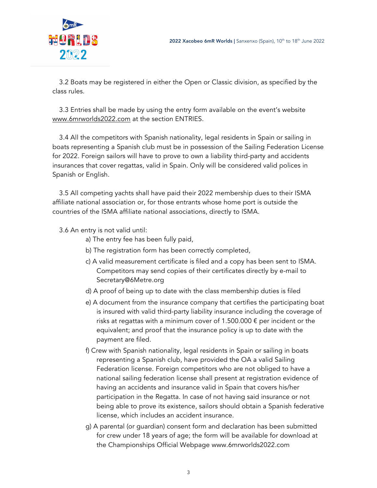

3.2 Boats may be registered in either the Open or Classic division, as specified by the class rules.

3.3 Entries shall be made by using the entry form available on the event's website www.6mrworlds2022.com at the section ENTRIES.

3.4 All the competitors with Spanish nationality, legal residents in Spain or sailing in boats representing a Spanish club must be in possession of the Sailing Federation License for 2022. Foreign sailors will have to prove to own a liability third-party and accidents insurances that cover regattas, valid in Spain. Only will be considered valid polices in Spanish or English.

3.5 All competing yachts shall have paid their 2022 membership dues to their ISMA affiliate national association or, for those entrants whose home port is outside the countries of the ISMA affiliate national associations, directly to ISMA.

3.6 An entry is not valid until:

- a) The entry fee has been fully paid,
- b) The registration form has been correctly completed,
- c) A valid measurement certificate is filed and a copy has been sent to ISMA. Competitors may send copies of their certificates directly by e-mail to Secretary@6Metre.org
- d) A proof of being up to date with the class membership duties is filed
- e) A document from the insurance company that certifies the participating boat is insured with valid third-party liability insurance including the coverage of risks at regattas with a minimum cover of 1.500.000  $\epsilon$  per incident or the equivalent; and proof that the insurance policy is up to date with the payment are filed.
- f) Crew with Spanish nationality, legal residents in Spain or sailing in boats representing a Spanish club, have provided the OA a valid Sailing Federation license. Foreign competitors who are not obliged to have a national sailing federation license shall present at registration evidence of having an accidents and insurance valid in Spain that covers his/her participation in the Regatta. In case of not having said insurance or not being able to prove its existence, sailors should obtain a Spanish federative license, which includes an accident insurance.
- g) A parental (or guardian) consent form and declaration has been submitted for crew under 18 years of age; the form will be available for download at the Championships Official Webpage www.6mrworlds2022.com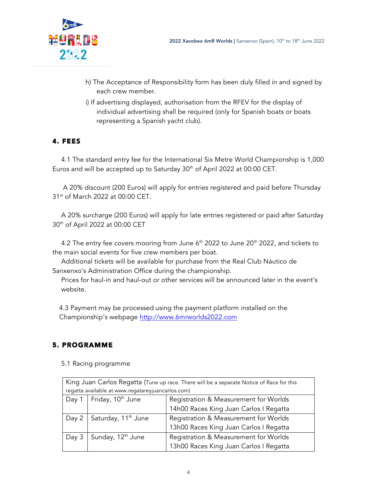

- h) The Acceptance of Responsibility form has been duly filled in and signed by each crew member.
- i) If advertising displayed, authorisation from the RFEV for the display of individual advertising shall be required (only for Spanish boats or boats representing a Spanish yacht club).

## 4. FEES

4.1 The standard entry fee for the International Six Metre World Championship is 1,000 Euros and will be accepted up to Saturday 30<sup>th</sup> of April 2022 at 00:00 CET.

A 20% discount (200 Euros) will apply for entries registered and paid before Thursday 31<sup>st</sup> of March 2022 at 00:00 CET.

A 20% surcharge (200 Euros) will apply for late entries registered or paid after Saturday 30th of April 2022 at 00:00 CET

4.2 The entry fee covers mooring from June  $6<sup>th</sup>$  2022 to June 20 $<sup>th</sup>$  2022, and tickets to</sup> the main social events for five crew members per boat.

Additional tickets will be available for purchase from the Real Club Náutico de Sanxenxo's Administration Office during the championship.

Prices for haul-in and haul-out or other services will be announced later in the event's website.

4.3 Payment may be processed using the payment platform installed on the Championship's webpage http://www.6mrworlds2022.com

# 5. PROGRAMME

5.1 Racing programme

| King Juan Carlos Regatta (Tune up race. There will be a separate Notice of Race for this |                                  |                                        |  |
|------------------------------------------------------------------------------------------|----------------------------------|----------------------------------------|--|
| regatta available at www.regatareyjuancarlos.com)                                        |                                  |                                        |  |
| Day 1                                                                                    | Friday, 10 <sup>th</sup> June    | Registration & Measurement for Worlds  |  |
|                                                                                          |                                  | 14h00 Races King Juan Carlos I Regatta |  |
|                                                                                          | Day 2   Saturday, $11^{th}$ June | Registration & Measurement for Worlds  |  |
|                                                                                          |                                  | 13h00 Races King Juan Carlos I Regatta |  |
| Day 3                                                                                    | Sunday, 12 <sup>th</sup> June    | Registration & Measurement for Worlds  |  |
|                                                                                          |                                  | 13h00 Races King Juan Carlos I Regatta |  |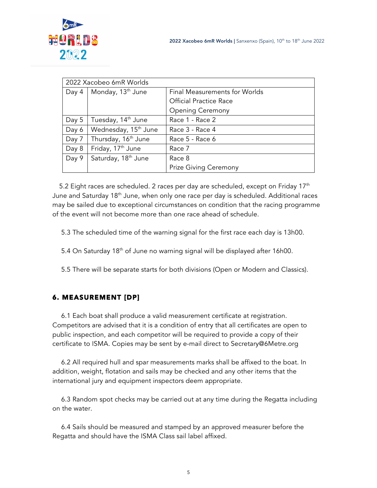

| 2022 Xacobeo 6mR Worlds |                                  |                               |  |
|-------------------------|----------------------------------|-------------------------------|--|
| Day 4                   | Monday, 13 <sup>th</sup> June    | Final Measurements for Worlds |  |
|                         |                                  | <b>Official Practice Race</b> |  |
|                         |                                  | <b>Opening Ceremony</b>       |  |
| Day 5                   | Tuesday, 14 <sup>th</sup> June   | Race 1 - Race 2               |  |
| Day 6                   | Wednesday, 15 <sup>th</sup> June | Race 3 - Race 4               |  |
| Day 7                   | Thursday, 16 <sup>th</sup> June  | Race 5 - Race 6               |  |
| Day 8                   | Friday, 17 <sup>th</sup> June    | Race 7                        |  |
| Day 9                   | Saturday, 18th June              | Race 8                        |  |
|                         |                                  | <b>Prize Giving Ceremony</b>  |  |

5.2 Eight races are scheduled. 2 races per day are scheduled, except on Friday  $17<sup>th</sup>$ June and Saturday 18<sup>th</sup> June, when only one race per day is scheduled. Additional races may be sailed due to exceptional circumstances on condition that the racing programme of the event will not become more than one race ahead of schedule.

5.3 The scheduled time of the warning signal for the first race each day is 13h00.

- 5.4 On Saturday 18<sup>th</sup> of June no warning signal will be displayed after 16h00.
- 5.5 There will be separate starts for both divisions (Open or Modern and Classics).

# 6. MEASUREMENT [DP]

6.1 Each boat shall produce a valid measurement certificate at registration. Competitors are advised that it is a condition of entry that all certificates are open to public inspection, and each competitor will be required to provide a copy of their certificate to ISMA. Copies may be sent by e-mail direct to Secretary@6Metre.org

6.2 All required hull and spar measurements marks shall be affixed to the boat. In addition, weight, flotation and sails may be checked and any other items that the international jury and equipment inspectors deem appropriate.

6.3 Random spot checks may be carried out at any time during the Regatta including on the water.

6.4 Sails should be measured and stamped by an approved measurer before the Regatta and should have the ISMA Class sail label affixed.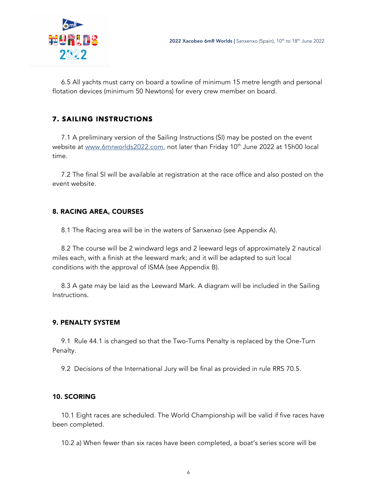

6.5 All yachts must carry on board a towline of minimum 15 metre length and personal flotation devices (minimum 50 Newtons) for every crew member on board.

## 7. SAILING INSTRUCTIONS

7.1 A preliminary version of the Sailing Instructions (SI) may be posted on the event website at www.6mrworlds2022.com, not later than Friday 10<sup>th</sup> June 2022 at 15h00 local time.

7.2 The final SI will be available at registration at the race office and also posted on the event website.

## 8. RACING AREA, COURSES

8.1 The Racing area will be in the waters of Sanxenxo (see Appendix A).

8.2 The course will be 2 windward legs and 2 leeward legs of approximately 2 nautical miles each, with a finish at the leeward mark; and it will be adapted to suit local conditions with the approval of ISMA (see Appendix B).

8.3 A gate may be laid as the Leeward Mark. A diagram will be included in the Sailing Instructions.

## 9. PENALTY SYSTEM

9.1 Rule 44.1 is changed so that the Two-Turns Penalty is replaced by the One-Turn Penalty.

9.2 Decisions of the International Jury will be final as provided in rule RRS 70.5.

## 10. SCORING

10.1 Eight races are scheduled. The World Championship will be valid if five races have been completed.

10.2 a) When fewer than six races have been completed, a boat's series score will be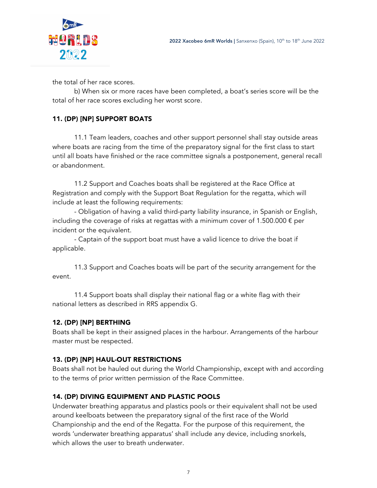

the total of her race scores.

b) When six or more races have been completed, a boat's series score will be the total of her race scores excluding her worst score.

## 11. (DP) [NP] SUPPORT BOATS

11.1 Team leaders, coaches and other support personnel shall stay outside areas where boats are racing from the time of the preparatory signal for the first class to start until all boats have finished or the race committee signals a postponement, general recall or abandonment.

11.2 Support and Coaches boats shall be registered at the Race Office at Registration and comply with the Support Boat Regulation for the regatta, which will include at least the following requirements:

- Obligation of having a valid third-party liability insurance, in Spanish or English, including the coverage of risks at regattas with a minimum cover of 1.500.000  $\epsilon$  per incident or the equivalent.

- Captain of the support boat must have a valid licence to drive the boat if applicable.

11.3 Support and Coaches boats will be part of the security arrangement for the event.

11.4 Support boats shall display their national flag or a white flag with their national letters as described in RRS appendix G.

## 12. (DP) [NP] BERTHING

Boats shall be kept in their assigned places in the harbour. Arrangements of the harbour master must be respected.

## 13. (DP) [NP] HAUL-OUT RESTRICTIONS

Boats shall not be hauled out during the World Championship, except with and according to the terms of prior written permission of the Race Committee.

## 14. (DP) DIVING EQUIPMENT AND PLASTIC POOLS

Underwater breathing apparatus and plastics pools or their equivalent shall not be used around keelboats between the preparatory signal of the first race of the World Championship and the end of the Regatta. For the purpose of this requirement, the words 'underwater breathing apparatus' shall include any device, including snorkels, which allows the user to breath underwater.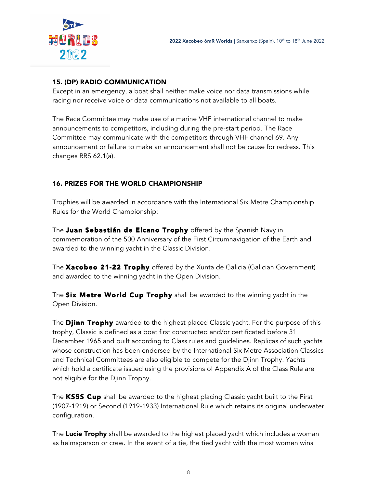

## 15. (DP) RADIO COMMUNICATION

Except in an emergency, a boat shall neither make voice nor data transmissions while racing nor receive voice or data communications not available to all boats.

The Race Committee may make use of a marine VHF international channel to make announcements to competitors, including during the pre-start period. The Race Committee may communicate with the competitors through VHF channel 69. Any announcement or failure to make an announcement shall not be cause for redress. This changes RRS 62.1(a).

#### 16. PRIZES FOR THE WORLD CHAMPIONSHIP

Trophies will be awarded in accordance with the International Six Metre Championship Rules for the World Championship:

The Juan Sebastián de Elcano Trophy offered by the Spanish Navy in commemoration of the 500 Anniversary of the First Circumnavigation of the Earth and awarded to the winning yacht in the Classic Division.

The **Xacobeo 21-22 Trophy** offered by the Xunta de Galicia (Galician Government) and awarded to the winning yacht in the Open Division.

The Six Metre World Cup Trophy shall be awarded to the winning yacht in the Open Division.

The **Djinn Trophy** awarded to the highest placed Classic yacht. For the purpose of this trophy, Classic is defined as a boat first constructed and/or certificated before 31 December 1965 and built according to Class rules and guidelines. Replicas of such yachts whose construction has been endorsed by the International Six Metre Association Classics and Technical Committees are also eligible to compete for the Djinn Trophy. Yachts which hold a certificate issued using the provisions of Appendix A of the Class Rule are not eligible for the Djinn Trophy.

The KSSS Cup shall be awarded to the highest placing Classic yacht built to the First (1907-1919) or Second (1919-1933) International Rule which retains its original underwater configuration.

The Lucie Trophy shall be awarded to the highest placed yacht which includes a woman as helmsperson or crew. In the event of a tie, the tied yacht with the most women wins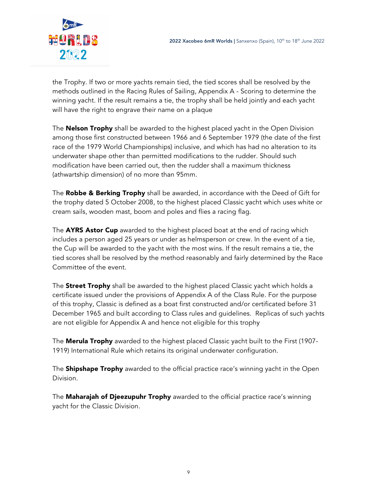

the Trophy. If two or more yachts remain tied, the tied scores shall be resolved by the methods outlined in the Racing Rules of Sailing, Appendix A - Scoring to determine the winning yacht. If the result remains a tie, the trophy shall be held jointly and each yacht will have the right to engrave their name on a plaque

The **Nelson Trophy** shall be awarded to the highest placed yacht in the Open Division among those first constructed between 1966 and 6 September 1979 (the date of the first race of the 1979 World Championships) inclusive, and which has had no alteration to its underwater shape other than permitted modifications to the rudder. Should such modification have been carried out, then the rudder shall a maximum thickness (athwartship dimension) of no more than 95mm.

The Robbe & Berking Trophy shall be awarded, in accordance with the Deed of Gift for the trophy dated 5 October 2008, to the highest placed Classic yacht which uses white or cream sails, wooden mast, boom and poles and flies a racing flag.

The AYRS Astor Cup awarded to the highest placed boat at the end of racing which includes a person aged 25 years or under as helmsperson or crew. In the event of a tie, the Cup will be awarded to the yacht with the most wins. If the result remains a tie, the tied scores shall be resolved by the method reasonably and fairly determined by the Race Committee of the event.

The **Street Trophy** shall be awarded to the highest placed Classic yacht which holds a certificate issued under the provisions of Appendix A of the Class Rule. For the purpose of this trophy, Classic is defined as a boat first constructed and/or certificated before 31 December 1965 and built according to Class rules and guidelines. Replicas of such yachts are not eligible for Appendix A and hence not eligible for this trophy

The **Merula Trophy** awarded to the highest placed Classic yacht built to the First (1907-1919) International Rule which retains its original underwater configuration.

The **Shipshape Trophy** awarded to the official practice race's winning yacht in the Open Division.

The Maharajah of Djeezupuhr Trophy awarded to the official practice race's winning yacht for the Classic Division.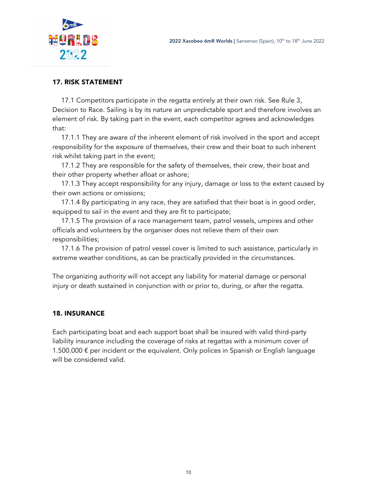

#### 17. RISK STATEMENT

17.1 Competitors participate in the regatta entirely at their own risk. See Rule 3, Decision to Race. Sailing is by its nature an unpredictable sport and therefore involves an element of risk. By taking part in the event, each competitor agrees and acknowledges that:

17.1.1 They are aware of the inherent element of risk involved in the sport and accept responsibility for the exposure of themselves, their crew and their boat to such inherent risk whilst taking part in the event;

17.1.2 They are responsible for the safety of themselves, their crew, their boat and their other property whether afloat or ashore;

17.1.3 They accept responsibility for any injury, damage or loss to the extent caused by their own actions or omissions;

17.1.4 By participating in any race, they are satisfied that their boat is in good order, equipped to sail in the event and they are fit to participate;

17.1.5 The provision of a race management team, patrol vessels, umpires and other officials and volunteers by the organiser does not relieve them of their own responsibilities;

17.1.6 The provision of patrol vessel cover is limited to such assistance, particularly in extreme weather conditions, as can be practically provided in the circumstances.

The organizing authority will not accept any liability for material damage or personal injury or death sustained in conjunction with or prior to, during, or after the regatta.

## 18. INSURANCE

Each participating boat and each support boat shall be insured with valid third-party liability insurance including the coverage of risks at regattas with a minimum cover of 1.500.000  $\epsilon$  per incident or the equivalent. Only polices in Spanish or English language will be considered valid.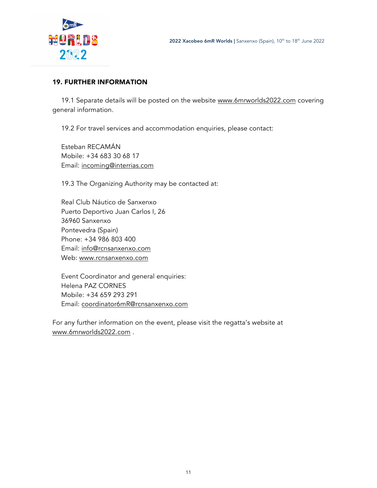



#### 19. FURTHER INFORMATION

19.1 Separate details will be posted on the website www.6mrworlds2022.com covering general information.

19.2 For travel services and accommodation enquiries, please contact:

Esteban RECAMÁN Mobile: +34 683 30 68 17 Email: incoming@interrias.com

19.3 The Organizing Authority may be contacted at:

Real Club Náutico de Sanxenxo Puerto Deportivo Juan Carlos I, 26 36960 Sanxenxo Pontevedra (Spain) Phone: +34 986 803 400 Email: info@rcnsanxenxo.com Web: www.rcnsanxenxo.com

Event Coordinator and general enquiries: Helena PAZ CORNES Mobile: +34 659 293 291 Email: coordinator6mR@rcnsanxenxo.com

For any further information on the event, please visit the regatta's website at www.6mrworlds2022.com .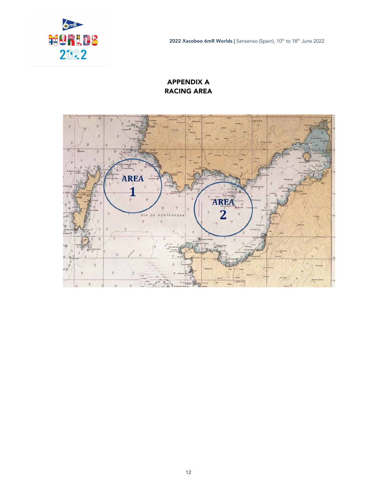

2022 Xacobeo 6mR Worlds | Sanxenxo (Spain), 10<sup>th</sup> to 18<sup>th</sup> June 2022

## APPENDIX A RACING AREA

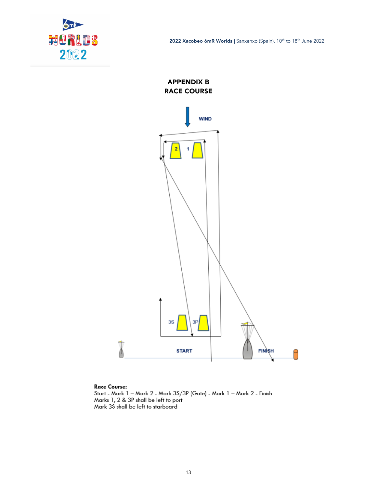

2022 Xacobeo 6mR Worlds | Sanxenxo (Spain), 10<sup>th</sup> to 18<sup>th</sup> June 2022

APPENDIX B RACE COURSE



#### **Race Course:**

Start - Mark 1 – Mark 2 - Mark 3S/3P (Gate) - Mark 1 – Mark 2 - Finish<br>Marks 1, 2 & 3P shall be left to port Mark 3S shall be left to starboard